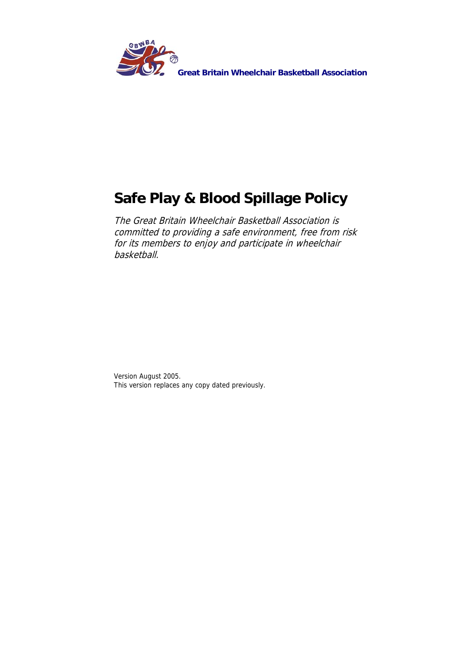

## **Safe Play & Blood Spillage Policy**

The Great Britain Wheelchair Basketball Association is committed to providing a safe environment, free from risk for its members to enjoy and participate in wheelchair basketball.

Version August 2005. This version replaces any copy dated previously.